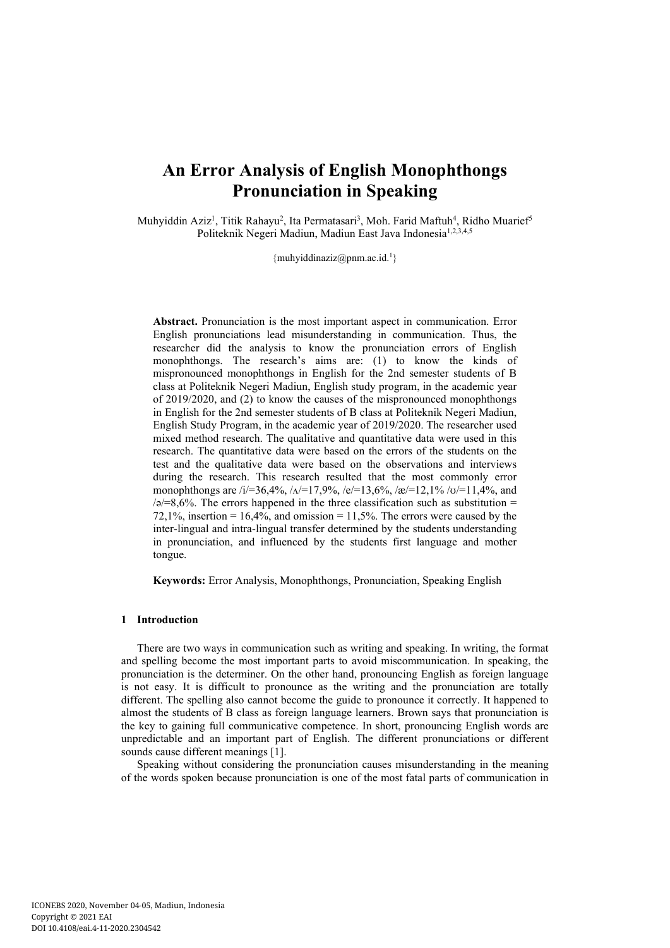# **An Error Analysis of English Monophthongs Pronunciation in Speaking**

Muhyiddin Aziz<sup>1</sup>, Titik Rahayu<sup>2</sup>, Ita Permatasari<sup>3</sup>, Moh. Farid Maftuh<sup>4</sup>, Ridho Muarief<sup>5</sup> Politeknik Negeri Madiun, Madiun East Java Indonesia<sup>1,2,3,4,5</sup>

{muhyiddinaziz@pnm.ac.id.<sup>1</sup>}

**Abstract.** Pronunciation is the most important aspect in communication. Error English pronunciations lead misunderstanding in communication. Thus, the researcher did the analysis to know the pronunciation errors of English monophthongs. The research's aims are: (1) to know the kinds of mispronounced monophthongs in English for the 2nd semester students of B class at Politeknik Negeri Madiun, English study program, in the academic year of 2019/2020, and (2) to know the causes of the mispronounced monophthongs in English for the 2nd semester students of B class at Politeknik Negeri Madiun, English Study Program, in the academic year of 2019/2020. The researcher used mixed method research. The qualitative and quantitative data were used in this research. The quantitative data were based on the errors of the students on the test and the qualitative data were based on the observations and interviews during the research. This research resulted that the most commonly error monophthongs are /i/=36,4%, / $\Delta$ /=17,9%, /e/=13,6%, /æ/=12,1% /ʊ/=11,4%, and  $\sqrt{a}=8.6\%$ . The errors happened in the three classification such as substitution = 72,1%, insertion =  $16,4\%$ , and omission = 11,5%. The errors were caused by the inter-lingual and intra-lingual transfer determined by the students understanding in pronunciation, and influenced by the students first language and mother tongue.

**Keywords:** Error Analysis, Monophthongs, Pronunciation, Speaking English

## **1 Introduction**

There are two ways in communication such as writing and speaking. In writing, the format and spelling become the most important parts to avoid miscommunication. In speaking, the pronunciation is the determiner. On the other hand, pronouncing English as foreign language is not easy. It is difficult to pronounce as the writing and the pronunciation are totally different. The spelling also cannot become the guide to pronounce it correctly. It happened to almost the students of B class as foreign language learners. Brown says that pronunciation is the key to gaining full communicative competence. In short, pronouncing English words are unpredictable and an important part of English. The different pronunciations or different sounds cause different meanings [1].

Speaking without considering the pronunciation causes misunderstanding in the meaning of the words spoken because pronunciation is one of the most fatal parts of communication in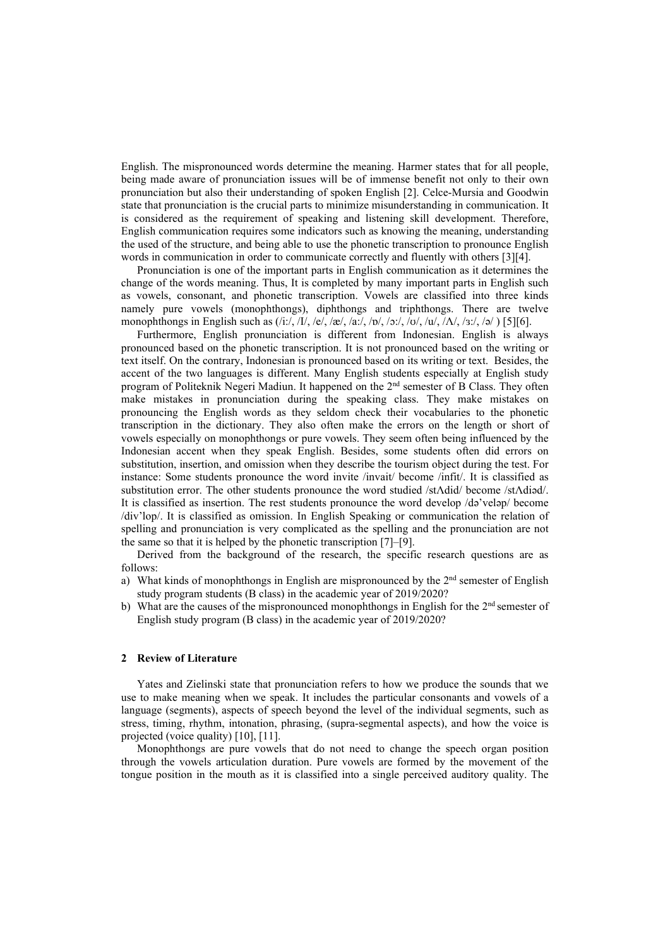English. The mispronounced words determine the meaning. Harmer states that for all people, being made aware of pronunciation issues will be of immense benefit not only to their own pronunciation but also their understanding of spoken English [2]. Celce-Mursia and Goodwin state that pronunciation is the crucial parts to minimize misunderstanding in communication. It is considered as the requirement of speaking and listening skill development. Therefore, English communication requires some indicators such as knowing the meaning, understanding the used of the structure, and being able to use the phonetic transcription to pronounce English words in communication in order to communicate correctly and fluently with others [3][4].

Pronunciation is one of the important parts in English communication as it determines the change of the words meaning. Thus, It is completed by many important parts in English such as vowels, consonant, and phonetic transcription. Vowels are classified into three kinds namely pure vowels (monophthongs), diphthongs and triphthongs. There are twelve monophthongs in English such as  $(i:/\sqrt{11}, ie', \frac{e}{\sqrt{a}}, \frac{a}{\sqrt{a}}, \frac{b}{\sqrt{a}}, \frac{b}{\sqrt{a}}, \frac{b}{\sqrt{a}}, \frac{b}{\sqrt{a}}, \frac{c}{\sqrt{a}}, \frac{d}{\sqrt{a}}, \frac{d}{\sqrt{a}}, \frac{d}{\sqrt{a}})$  [5][6].

Furthermore, English pronunciation is different from Indonesian. English is always pronounced based on the phonetic transcription. It is not pronounced based on the writing or text itself. On the contrary, Indonesian is pronounced based on its writing or text. Besides, the accent of the two languages is different. Many English students especially at English study program of Politeknik Negeri Madiun. It happened on the 2<sup>nd</sup> semester of B Class. They often make mistakes in pronunciation during the speaking class. They make mistakes on pronouncing the English words as they seldom check their vocabularies to the phonetic transcription in the dictionary. They also often make the errors on the length or short of vowels especially on monophthongs or pure vowels. They seem often being influenced by the Indonesian accent when they speak English. Besides, some students often did errors on substitution, insertion, and omission when they describe the tourism object during the test. For instance: Some students pronounce the word invite /invait/ become /infit/. It is classified as substitution error. The other students pronounce the word studied /stAdid/ become /stAdiəd/. It is classified as insertion. The rest students pronounce the word develop /də'veləp/ become /div'lop/. It is classified as omission. In English Speaking or communication the relation of spelling and pronunciation is very complicated as the spelling and the pronunciation are not the same so that it is helped by the phonetic transcription [7]–[9].

Derived from the background of the research, the specific research questions are as follows:

- a) What kinds of monophthongs in English are mispronounced by the  $2<sup>nd</sup>$  semester of English study program students (B class) in the academic year of 2019/2020?
- b) What are the causes of the mispronounced monophthongs in English for the  $2<sup>nd</sup>$  semester of English study program (B class) in the academic year of 2019/2020?

# **2 Review of Literature**

Yates and Zielinski state that pronunciation refers to how we produce the sounds that we use to make meaning when we speak. It includes the particular consonants and vowels of a language (segments), aspects of speech beyond the level of the individual segments, such as stress, timing, rhythm, intonation, phrasing, (supra-segmental aspects), and how the voice is projected (voice quality) [10], [11].

Monophthongs are pure vowels that do not need to change the speech organ position through the vowels articulation duration. Pure vowels are formed by the movement of the tongue position in the mouth as it is classified into a single perceived auditory quality. The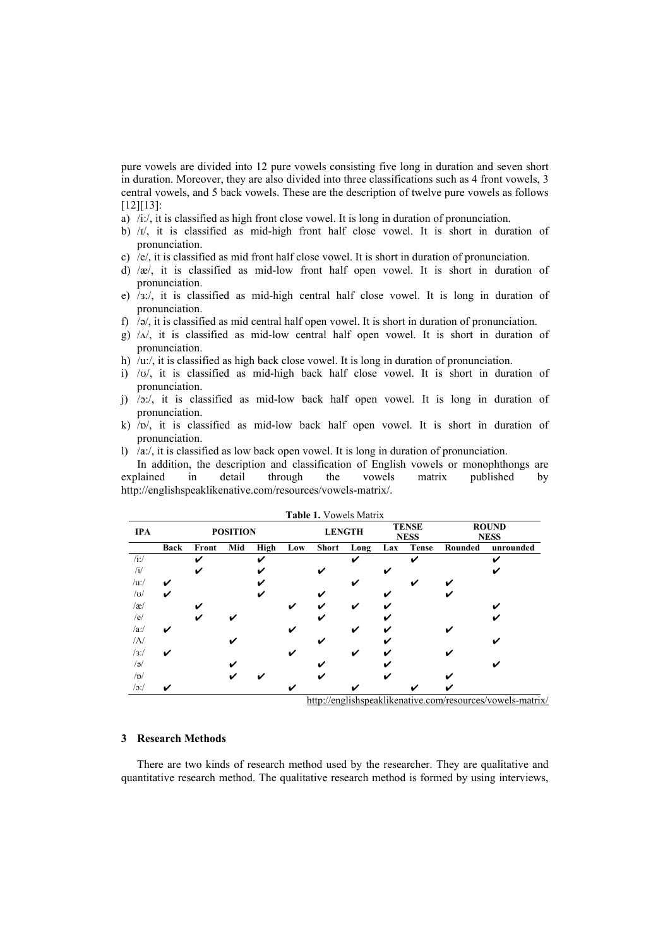pure vowels are divided into 12 pure vowels consisting five long in duration and seven short in duration. Moreover, they are also divided into three classifications such as 4 front vowels, 3 central vowels, and 5 back vowels. These are the description of twelve pure vowels as follows [12][13]:

- a) /i:/, it is classified as high front close vowel. It is long in duration of pronunciation.
- b) / $1/$ , it is classified as mid-high front half close vowel. It is short in duration of pronunciation.
- c) /e/, it is classified as mid front half close vowel. It is short in duration of pronunciation.
- d) /æ/, it is classified as mid-low front half open vowel. It is short in duration of pronunciation.
- e) /ɜ:/, it is classified as mid-high central half close vowel. It is long in duration of pronunciation.
- f)  $/$ ə $/$ , it is classified as mid central half open vowel. It is short in duration of pronunciation.
- g)  $/\lambda$ , it is classified as mid-low central half open vowel. It is short in duration of pronunciation.
- h) /u:/, it is classified as high back close vowel. It is long in duration of pronunciation.
- i) /ʊ/, it is classified as mid-high back half close vowel. It is short in duration of pronunciation.
- j) /ɔ:/, it is classified as mid-low back half open vowel. It is long in duration of pronunciation.
- k)  $\overline{p}$ , it is classified as mid-low back half open vowel. It is short in duration of pronunciation.
- l)  $\alpha$ :/, it is classified as low back open vowel. It is long in duration of pronunciation.

In addition, the description and classification of English vowels or monophthongs are explained in detail through the vowels matrix published by http://englishspeaklikenative.com/resources/vowels-matrix/.

|            |             |                 |     |               |     | Table 1. Vowels Matrix |                             |     |              |                             |           |
|------------|-------------|-----------------|-----|---------------|-----|------------------------|-----------------------------|-----|--------------|-----------------------------|-----------|
| <b>IPA</b> |             | <b>POSITION</b> |     | <b>LENGTH</b> |     |                        | <b>TENSE</b><br><b>NESS</b> |     |              | <b>ROUND</b><br><b>NESS</b> |           |
|            | <b>Back</b> | Front           | Mid | High          | Low | <b>Short</b>           | Long                        | Lax | <b>Tense</b> | Rounded                     | unrounded |
| $/$ i:/    |             | V               |     | ✓             |     |                        | ✓                           |     | ✓            |                             | ✔         |
| /i/        |             | ✓               |     |               |     | ✔                      |                             | ✔   |              |                             |           |
| $/$ u:/    | ✓           |                 |     |               |     |                        | ✔                           |     |              |                             |           |
| U          | ✓           |                 |     |               |     | ✔                      |                             | ✔   |              |                             |           |
| $\alpha$   |             | V               |     |               | ✓   | ✔                      | ✓                           | ✔   |              |                             |           |
| /e/        |             | V               |     |               |     | ✔                      |                             | ✔   |              |                             |           |
| $/a$ :/    | ✔           |                 |     |               |     |                        | ✓                           |     |              |                             |           |
| /N         |             |                 |     |               |     | ✔                      |                             | ✔   |              |                             |           |
| /3:        | ✓           |                 |     |               |     |                        | ✓                           | ✔   |              |                             |           |
| $/$ ə $/$  |             |                 | ✔   |               |     |                        |                             |     |              |                             |           |
| /b/        |             |                 | ✔   |               |     |                        |                             |     |              |                             |           |
| $/$ o:/    | v           |                 |     |               |     |                        | v                           |     |              |                             |           |

http://englishspeaklikenative.com/resources/vowels-matrix/

# **3 Research Methods**

There are two kinds of research method used by the researcher. They are qualitative and quantitative research method. The qualitative research method is formed by using interviews,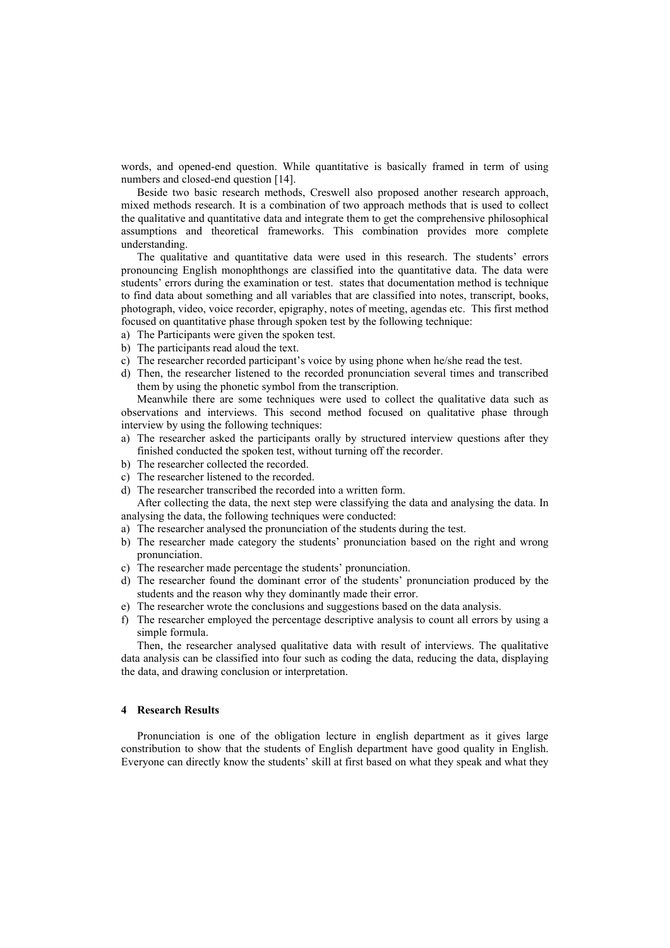words, and opened-end question. While quantitative is basically framed in term of using numbers and closed-end question [14].

Beside two basic research methods, Creswell also proposed another research approach, mixed methods research. It is a combination of two approach methods that is used to collect the qualitative and quantitative data and integrate them to get the comprehensive philosophical assumptions and theoretical frameworks. This combination provides more complete understanding.

The qualitative and quantitative data were used in this research. The students' errors pronouncing English monophthongs are classified into the quantitative data. The data were students' errors during the examination or test. states that documentation method is technique to find data about something and all variables that are classified into notes, transcript, books, photograph, video, voice recorder, epigraphy, notes of meeting, agendas etc. This first method focused on quantitative phase through spoken test by the following technique:

- a) The Participants were given the spoken test.
- b) The participants read aloud the text.
- c) The researcher recorded participant's voice by using phone when he/she read the test.
- d) Then, the researcher listened to the recorded pronunciation several times and transcribed them by using the phonetic symbol from the transcription.

Meanwhile there are some techniques were used to collect the qualitative data such as observations and interviews. This second method focused on qualitative phase through interview by using the following techniques:

- a) The researcher asked the participants orally by structured interview questions after they finished conducted the spoken test, without turning off the recorder.
- b) The researcher collected the recorded.
- c) The researcher listened to the recorded.
- d) The researcher transcribed the recorded into a written form.

After collecting the data, the next step were classifying the data and analysing the data. In analysing the data, the following techniques were conducted:

- a) The researcher analysed the pronunciation of the students during the test.
- b) The researcher made category the students' pronunciation based on the right and wrong pronunciation.
- c) The researcher made percentage the students' pronunciation.
- d) The researcher found the dominant error of the students' pronunciation produced by the students and the reason why they dominantly made their error.
- e) The researcher wrote the conclusions and suggestions based on the data analysis.
- f) The researcher employed the percentage descriptive analysis to count all errors by using a simple formula.

Then, the researcher analysed qualitative data with result of interviews. The qualitative data analysis can be classified into four such as coding the data, reducing the data, displaying the data, and drawing conclusion or interpretation.

## **4 Research Results**

Pronunciation is one of the obligation lecture in english department as it gives large constribution to show that the students of English department have good quality in English. Everyone can directly know the students' skill at first based on what they speak and what they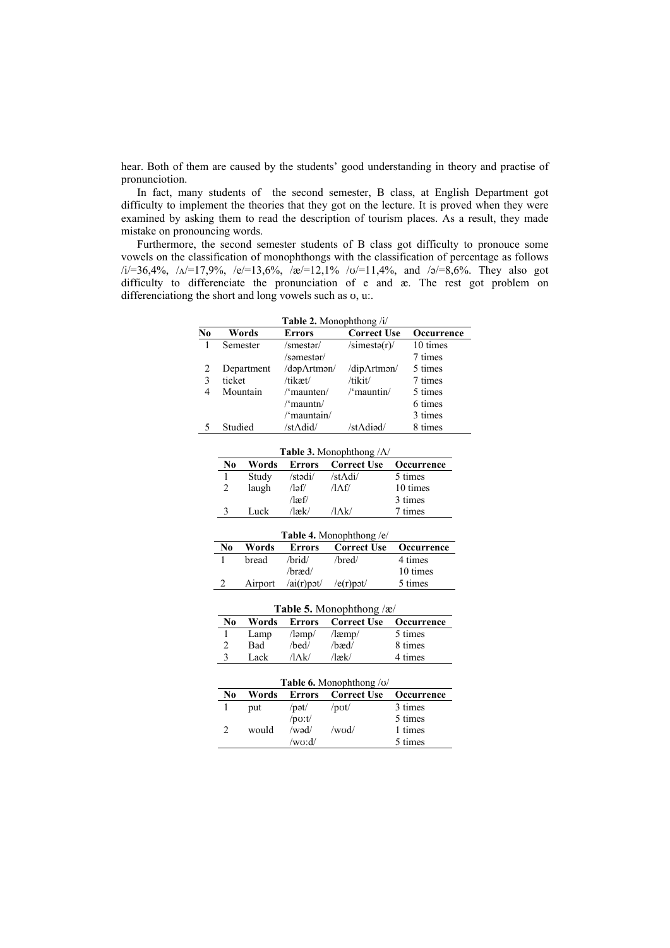hear. Both of them are caused by the students' good understanding in theory and practise of pronunciotion.

In fact, many students of the second semester, B class, at English Department got difficulty to implement the theories that they got on the lecture. It is proved when they were examined by asking them to read the description of tourism places. As a result, they made mistake on pronouncing words.

Furthermore, the second semester students of B class got difficulty to pronouce some vowels on the classification of monophthongs with the classification of percentage as follows  $(i=36,4\%, \lambda=17,9\%, \lambda=13,6\%, \lambda=12,1\% \text{ to}=11,4\%, \text{ and } \lambda=8,6\%.$  They also got difficulty to differenciate the pronunciation of e and æ. The rest got problem on differenciationg the short and long vowels such as ʊ, u:.

|    | <b>Table 2.</b> Monophthong /i/ |                  |                    |            |  |  |
|----|---------------------------------|------------------|--------------------|------------|--|--|
| No | Words                           | <b>Errors</b>    | <b>Correct Use</b> | Occurrence |  |  |
|    | Semester                        | /smestər/        | $\sin(1)$          | 10 times   |  |  |
|    |                                 | /səmestər/       |                    | 7 times    |  |  |
|    | Department                      | /dəpArtmən/      | /dip/\tman/        | 5 times    |  |  |
|    | ticket                          | /tikæt/          | /tikit/            | 7 times    |  |  |
| 4  | Mountain                        | $/$ 'maunten $/$ | /'mauntin/         | 5 times    |  |  |
|    |                                 | $\gamma$ mauntn/ |                    | 6 times    |  |  |
|    |                                 | /'mauntain/      |                    | 3 times    |  |  |
|    | Studied                         | /stAdid/         | /stAdiad/          | 8 times    |  |  |

|                             | <b>Table 3.</b> Monophthong $/\Lambda$ |               |                    |                   |  |  |  |
|-----------------------------|----------------------------------------|---------------|--------------------|-------------------|--|--|--|
| No                          | Words                                  | <b>Errors</b> | <b>Correct Use</b> | <b>Occurrence</b> |  |  |  |
|                             | Study                                  | /stədi/       | /st $\Lambda$ di/  | 5 times           |  |  |  |
| $\mathcal{D}_{\mathcal{L}}$ | laugh                                  | /ləf/         | /1 A f/            | 10 times          |  |  |  |
|                             |                                        | $\sqrt{2}$    |                    | 3 times           |  |  |  |
|                             | Luck                                   | $/$ læk $/$   | /1 A k /           | 7 times           |  |  |  |

|    | <b>Table 4.</b> Monophthong /e/ |                  |                    |            |  |  |  |
|----|---------------------------------|------------------|--------------------|------------|--|--|--|
| No | Words                           | <b>Errors</b>    | <b>Correct Use</b> | Occurrence |  |  |  |
|    | bread                           | /brid/           | /bred/             | 4 times    |  |  |  |
|    |                                 | /bræd/           |                    | 10 times   |  |  |  |
|    | Airport                         | $/ai(r)$ pot $/$ | $/e(r)p$ ot        | 5 times    |  |  |  |

| Table 5. Monophthong /æ/ |            |                          |                                      |         |  |  |
|--------------------------|------------|--------------------------|--------------------------------------|---------|--|--|
| No                       | Words      |                          | <b>Errors</b> Correct Use Occurrence |         |  |  |
|                          | Lamp       | $\lambda$ ləmp $\lambda$ | $/$ læmp $/$                         | 5 times |  |  |
| 2                        | <b>Bad</b> | $/$ hed $/$              | $/$ hæd $/$                          | 8 times |  |  |
| 3                        | Lack.      | $/1\Lambda k/$           | $/$ læk $/$                          | 4 times |  |  |

|    | <b>Table 6.</b> Monophthong $\alpha$ |                       |                       |            |  |  |  |
|----|--------------------------------------|-----------------------|-----------------------|------------|--|--|--|
| No | Words                                | Errors                | Correct Use           | Occurrence |  |  |  |
|    | put                                  | $\gamma$ pət $\gamma$ | $\prime$ pot $\prime$ | 3 times    |  |  |  |
|    |                                      | $/$ po:t $/$          |                       | 5 times    |  |  |  |
|    | would                                | /wad/                 | /wod/                 | 1 times    |  |  |  |
|    |                                      | /wo:d/                |                       | 5 times    |  |  |  |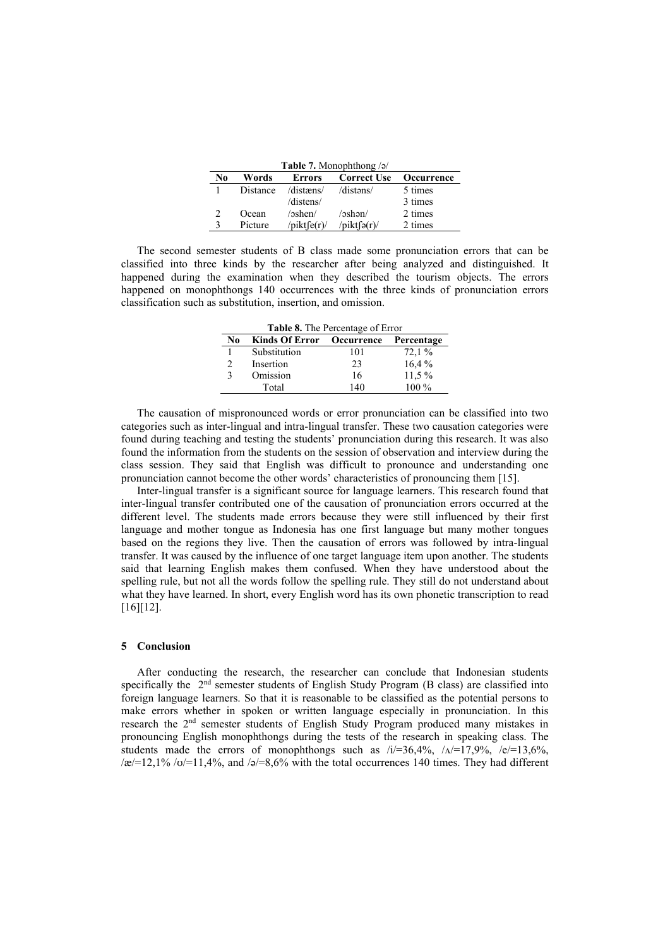|              | <b>Lable</b> <i>l</i> . Monophinong <i>j</i> <sup>2</sup> |                    |                                      |         |  |  |  |
|--------------|-----------------------------------------------------------|--------------------|--------------------------------------|---------|--|--|--|
| No           | Words                                                     |                    | <b>Errors</b> Correct Use Occurrence |         |  |  |  |
| $\mathbf{1}$ |                                                           | Distance /distæns/ | /distəns/                            | 5 times |  |  |  |
|              |                                                           | /distens/          |                                      | 3 times |  |  |  |
|              | Ocean                                                     | /oshen/            | /oshan/                              | 2 times |  |  |  |

3 Picture /pikt $\int e(r)$ /pikt $\int e(r)$ /2 times

**Table 7.** Monophthong /ə/

The second semester students of B class made some pronunciation errors that can be classified into three kinds by the researcher after being analyzed and distinguished. It happened during the examination when they described the tourism objects. The errors happened on monophthongs 140 occurrences with the three kinds of pronunciation errors classification such as substitution, insertion, and omission.

| <b>Table 8.</b> The Percentage of Error |                                      |     |         |  |  |  |
|-----------------------------------------|--------------------------------------|-----|---------|--|--|--|
| No                                      | Kinds Of Error Occurrence Percentage |     |         |  |  |  |
|                                         | Substitution                         | 101 | 72,1%   |  |  |  |
| $\mathfrak{D}$                          | Insertion                            | 23  | 16.4%   |  |  |  |
| 3                                       | Omission                             | 16  | 11,5 %  |  |  |  |
|                                         | Total                                | 140 | $100\%$ |  |  |  |

The causation of mispronounced words or error pronunciation can be classified into two categories such as inter-lingual and intra-lingual transfer. These two causation categories were found during teaching and testing the students' pronunciation during this research. It was also found the information from the students on the session of observation and interview during the class session. They said that English was difficult to pronounce and understanding one pronunciation cannot become the other words' characteristics of pronouncing them [15].

Inter-lingual transfer is a significant source for language learners. This research found that inter-lingual transfer contributed one of the causation of pronunciation errors occurred at the different level. The students made errors because they were still influenced by their first language and mother tongue as Indonesia has one first language but many mother tongues based on the regions they live. Then the causation of errors was followed by intra-lingual transfer. It was caused by the influence of one target language item upon another. The students said that learning English makes them confused. When they have understood about the spelling rule, but not all the words follow the spelling rule. They still do not understand about what they have learned. In short, every English word has its own phonetic transcription to read [16][12].

#### **5 Conclusion**

After conducting the research, the researcher can conclude that Indonesian students specifically the  $2<sup>nd</sup>$  semester students of English Study Program (B class) are classified into foreign language learners. So that it is reasonable to be classified as the potential persons to make errors whether in spoken or written language especially in pronunciation. In this research the 2nd semester students of English Study Program produced many mistakes in pronouncing English monophthongs during the tests of the research in speaking class. The students made the errors of monophthongs such as  $/i=36,4\%$ ,  $/\sqrt{1}-17,9\%$ ,  $/e=13,6\%$ ,  $\alpha$ /æ/=12,1% /o/=11,4%, and /ə/=8,6% with the total occurrences 140 times. They had different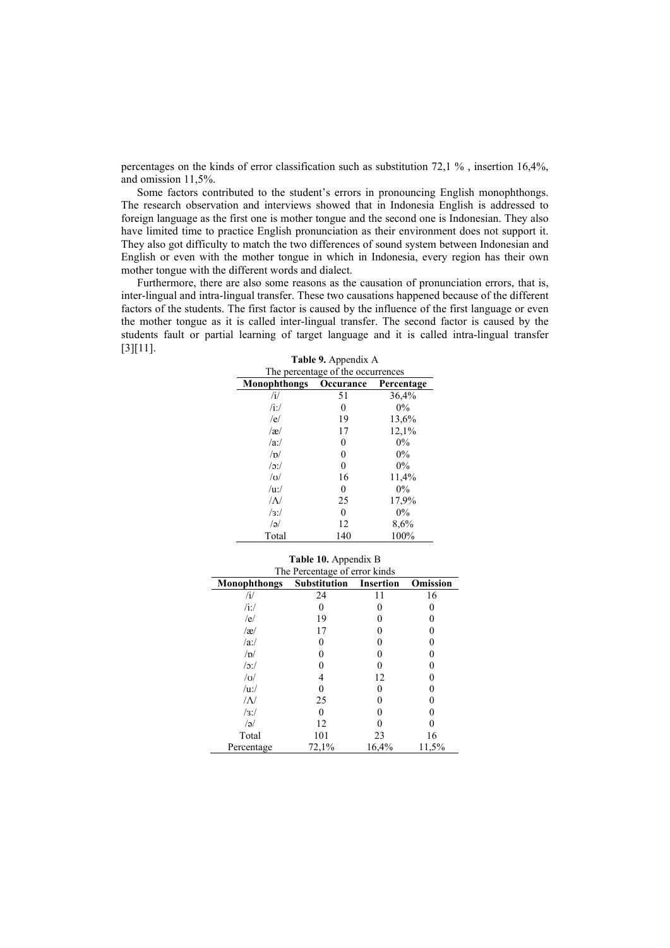percentages on the kinds of error classification such as substitution 72,1 % , insertion 16,4%, and omission 11,5%.

Some factors contributed to the student's errors in pronouncing English monophthongs. The research observation and interviews showed that in Indonesia English is addressed to foreign language as the first one is mother tongue and the second one is Indonesian. They also have limited time to practice English pronunciation as their environment does not support it. They also got difficulty to match the two differences of sound system between Indonesian and English or even with the mother tongue in which in Indonesia, every region has their own mother tongue with the different words and dialect.

Furthermore, there are also some reasons as the causation of pronunciation errors, that is, inter-lingual and intra-lingual transfer. These two causations happened because of the different factors of the students. The first factor is caused by the influence of the first language or even the mother tongue as it is called inter-lingual transfer. The second factor is caused by the students fault or partial learning of target language and it is called intra-lingual transfer [3][11]. **Table 9.** Appendix A

|                                   | <b>Table 9.</b> Appellula A |            |  |  |  |
|-----------------------------------|-----------------------------|------------|--|--|--|
| The percentage of the occurrences |                             |            |  |  |  |
| <b>Monophthongs</b>               | Occurance                   | Percentage |  |  |  |
| /i/                               | 51                          | 36,4%      |  |  |  |
| $/i$ :/                           | 0                           | $0\%$      |  |  |  |
| /e/                               | 19                          | 13,6%      |  |  |  |
| $\alpha$                          | 17                          | 12,1%      |  |  |  |
| $\alpha$ :/                       | 0                           | $0\%$      |  |  |  |
| $\sqrt{D}$                        | 0                           | $0\%$      |  |  |  |
| $\sqrt{2}$ :                      | 0                           | $0\%$      |  |  |  |
| $\sqrt{U}$                        | 16                          | 11,4%      |  |  |  |
| /uv/                              | 0                           | $0\%$      |  |  |  |
| $\Lambda$                         | 25                          | 17,9%      |  |  |  |
| /3:                               | 0                           | $0\%$      |  |  |  |
| a                                 | 12                          | 8,6%       |  |  |  |
| Total                             | 140                         | 100%       |  |  |  |

| Table 10. Appendix B       |                               |                  |          |  |
|----------------------------|-------------------------------|------------------|----------|--|
|                            | The Percentage of error kinds |                  |          |  |
| Monophthongs               | <b>Substitution</b>           | <b>Insertion</b> | Omission |  |
| $\mathbf{u}$               | 24                            | 11               | 16       |  |
| $\overline{\mathbf{a}}$ :/ |                               |                  |          |  |
| /e/                        | 19                            |                  |          |  |
| $\alpha$                   | 17                            |                  |          |  |
| $/a$ :/                    |                               |                  |          |  |
| /b/                        |                               |                  |          |  |
| /                          |                               |                  |          |  |
| U                          |                               | 12               |          |  |
| $/u$ :/                    |                               |                  |          |  |
| /N                         | 25                            |                  |          |  |
| /3:                        |                               |                  |          |  |
| $\sqrt{a}$                 | 12                            |                  |          |  |
| Total                      | 101                           | 23               | 16       |  |
| Percentage                 | 72,1%                         | 16,4%            | 11,5%    |  |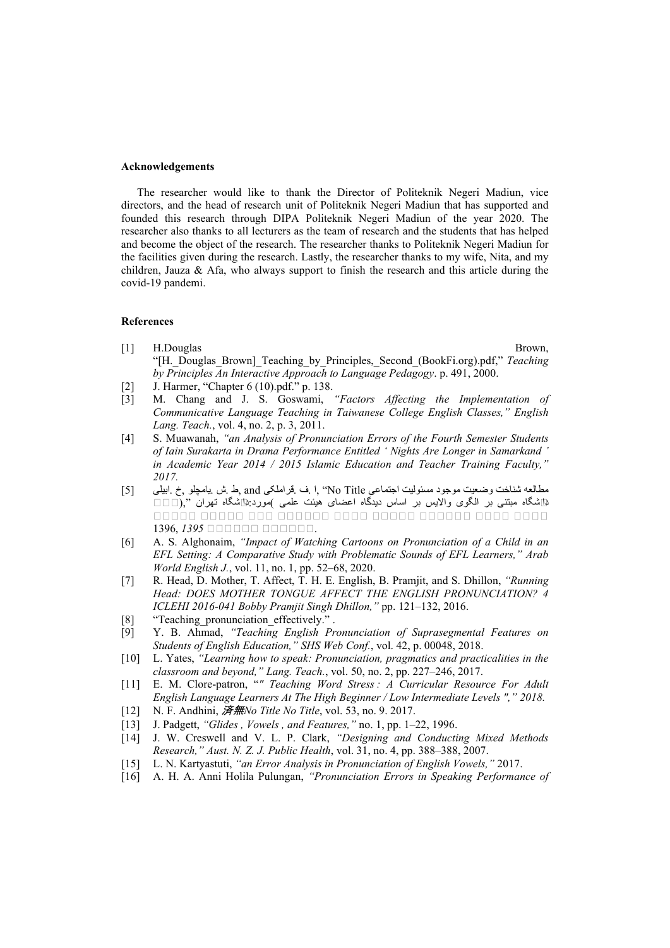#### **Acknowledgements**

The researcher would like to thank the Director of Politeknik Negeri Madiun, vice directors, and the head of research unit of Politeknik Negeri Madiun that has supported and founded this research through DIPA Politeknik Negeri Madiun of the year 2020. The researcher also thanks to all lecturers as the team of research and the students that has helped and become the object of the research. The researcher thanks to Politeknik Negeri Madiun for the facilities given during the research. Lastly, the researcher thanks to my wife, Nita, and my children, Jauza & Afa, who always support to finish the research and this article during the covid-19 pandemi.

# **References**

- [1] H.Douglas Brown, "[H.\_Douglas\_Brown]\_Teaching\_by\_Principles,\_Second\_(BookFi.org).pdf," *Teaching by Principles An Interactive Approach to Language Pedagogy*. p. 491, 2000.
- [2] J. Harmer, "Chapter 6 (10).pdf." p. 138.
- [3] M. Chang and J. S. Goswami, *"Factors Affecting the Implementation of Communicative Language Teaching in Taiwanese College English Classes," English Lang. Teach.*, vol. 4, no. 2, p. 3, 2011.
- [4] S. Muawanah, *"an Analysis of Pronunciation Errors of the Fourth Semester Students of Iain Surakarta in Drama Performance Entitled ' Nights Are Longer in Samarkand ' in Academic Year 2014 / 2015 Islamic Education and Teacher Training Faculty," 2017.*
- مطالعه شناخت وضعيت موجود مسئوليت اجتماعي No Title ", ا ف فراملکی and بط بش بيامچلو ,خ .ابيلبی . [5] دانشگاه مبتنی بر الگوی والايس بر اساس ديدگاه اعضای هيئت علمی )مورد:ِ⊄اشگاه تهران ",(□□□ *11111 11111 111 111111 1111 11111 111111 1111 1111* 1396, 1395 **11111111111**.
- [6] A. S. Alghonaim, *"Impact of Watching Cartoons on Pronunciation of a Child in an EFL Setting: A Comparative Study with Problematic Sounds of EFL Learners," Arab World English J.*, vol. 11, no. 1, pp. 52–68, 2020.
- [7] R. Head, D. Mother, T. Affect, T. H. E. English, B. Pramjit, and S. Dhillon, *"Running Head: DOES MOTHER TONGUE AFFECT THE ENGLISH PRONUNCIATION? 4 ICLEHI 2016-041 Bobby Pramjit Singh Dhillon,"* pp. 121–132, 2016.
- [8] "Teaching pronunciation effectively." .
- [9] Y. B. Ahmad, *"Teaching English Pronunciation of Suprasegmental Features on Students of English Education," SHS Web Conf.*, vol. 42, p. 00048, 2018.
- [10] L. Yates, *"Learning how to speak: Pronunciation, pragmatics and practicalities in the classroom and beyond," Lang. Teach.*, vol. 50, no. 2, pp. 227–246, 2017.
- [11] E. M. Clore-patron, "" Teaching Word Stress: A Curricular Resource For Adult *English Language Learners At The High Beginner / Low Intermediate Levels "," 2018.*
- [12] N. F. Andhini, 済無*No Title No Title*, vol. 53, no. 9. 2017.
- [13] J. Padgett, *"Glides , Vowels , and Features,"* no. 1, pp. 1–22, 1996.
- [14] J. W. Creswell and V. L. P. Clark, *"Designing and Conducting Mixed Methods Research," Aust. N. Z. J. Public Health*, vol. 31, no. 4, pp. 388–388, 2007.
- [15] L. N. Kartyastuti, *"an Error Analysis in Pronunciation of English Vowels,"* 2017.
- [16] A. H. A. Anni Holila Pulungan, *"Pronunciation Errors in Speaking Performance of*